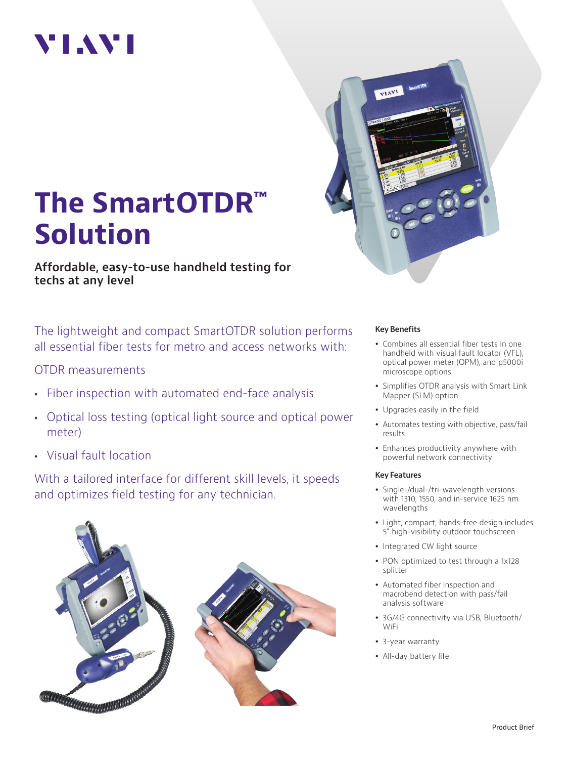# VI.WI



# **The SmartOTDR™ Solution**

**Affordable, easy-to-use handheld testing for techs at any level**

The lightweight and compact SmartOTDR solution performs all essential fiber tests for metro and access networks with:

### OTDR measurements

- Fiber inspection with automated end-face analysis
- Optical loss testing (optical light source and optical power meter)
- Visual fault location

With a tailored interface for different skill levels, it speeds and optimizes field testing for any technician.



#### **Key Benefits**

- Combines all essential fiber tests in one handheld with visual fault locator (VFL), optical power meter (OPM), and p5000i microscope options
- Simplifies OTDR analysis with Smart Link Mapper (SLM) option
- Upgrades easily in the field
- Automates testing with objective, pass/fail results
- Enhances productivity anywhere with powerful network connectivity

#### **Key Features**

- Single-/dual-/tri-wavelength versions with 1310, 1550, and in-service 1625 nm wavelengths
- Light, compact, hands-free design includes 5" high-visibility outdoor touchscreen
- Integrated CW light source
- PON optimized to test through a 1x128 splitter
- Automated fiber inspection and macrobend detection with pass/fail analysis software
- 3G/4G connectivity via USB, Bluetooth/ WiFi
- 3-year warranty
- All-day battery life